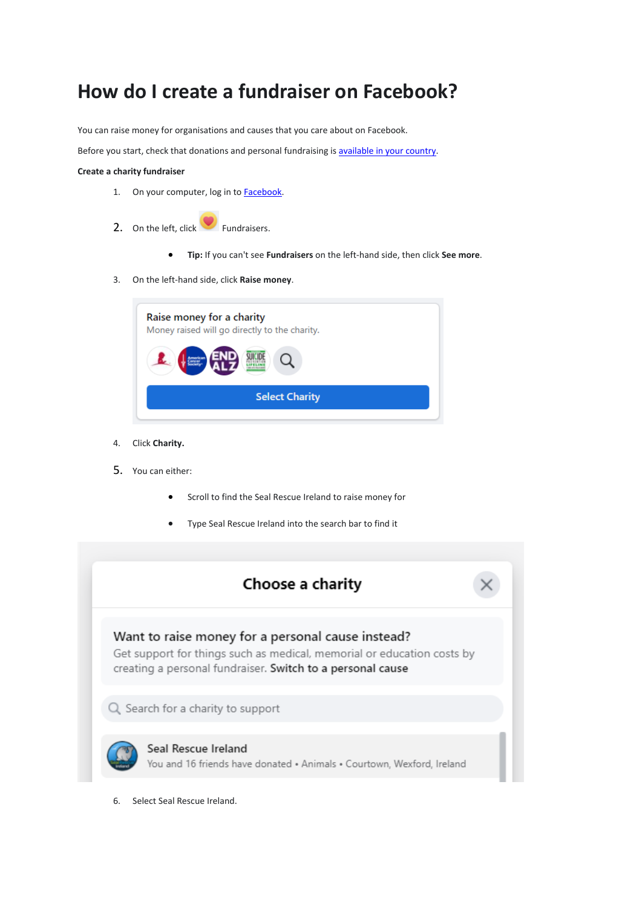# **How do I create a fundraiser on Facebook?**

You can raise money for organisations and causes that you care about on Facebook.

Before you start, check that donations and personal fundraising is [available](https://www.facebook.com/help/252443996270739) in your country.

### **Create a charity fundraiser**

- 1. On your computer, log in to **Facebook**.
- 2. On the left, click Fundraisers.
	- **Tip:** If you can't see **Fundraisers** on the left-hand side, then click **See more**.
- 3. On the left-hand side, click **Raise money**.

| Raise money for a charity<br>Money raised will go directly to the charity. |  |  |  |  |
|----------------------------------------------------------------------------|--|--|--|--|
|                                                                            |  |  |  |  |
| <b>Select Charity</b>                                                      |  |  |  |  |

- 4. Click **Charity.**
- 5. You can either:
	- Scroll to find the Seal Rescue Ireland to raise money for
	- Type Seal Rescue Ireland into the search bar to find it



6. Select Seal Rescue Ireland.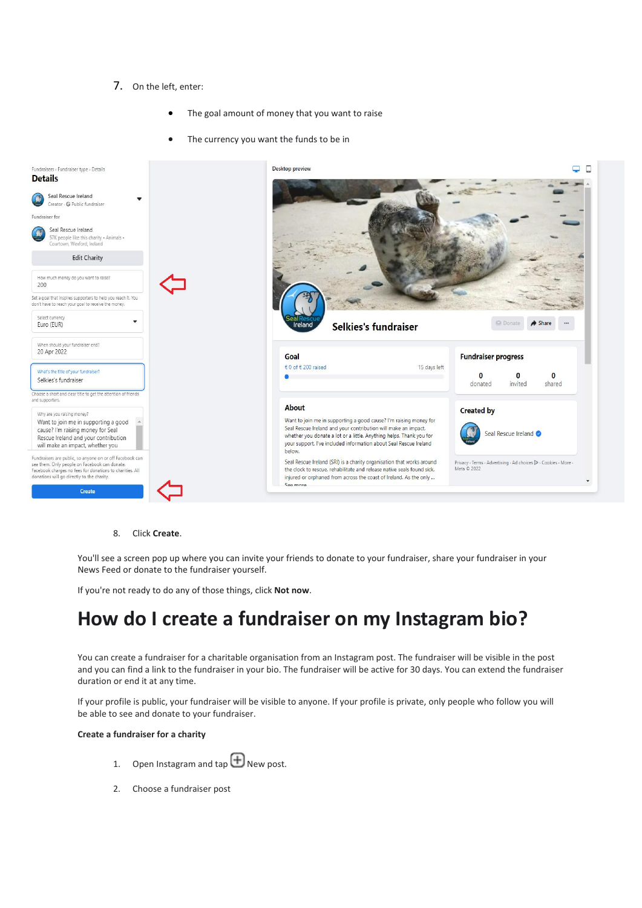## 7. On the left, enter:

- The goal amount of money that you want to raise
- The currency you want the funds to be in



8. Click **Create**.

You'll see a screen pop up where you can invite your friends to donate to your fundraiser, share your fundraiser in your News Feed or donate to the fundraiser yourself.

If you're not ready to do any of those things, click **Not now**.

## **How do I create a fundraiser on my Instagram bio?**

You can create a fundraiser for a charitable organisation from an Instagram post. The fundraiser will be visible in the post and you can find a link to the fundraiser in your bio. The fundraiser will be active for 30 days. You can extend the fundraiser duration or end it at any time.

If your profile is public, your fundraiser will be visible to anyone. If your profile is private, only people who follow you will be able to see and donate to your fundraiser.

#### **Create a fundraiser for a charity**

- 1. Open Instagram and  $\bigoplus$  New post.
- 2. Choose a fundraiser post